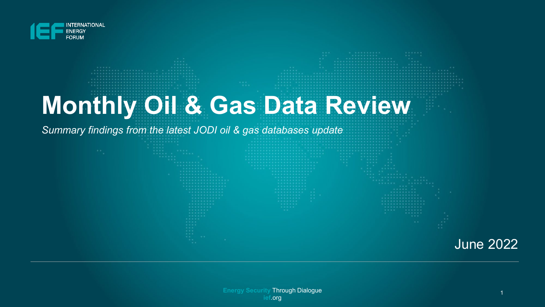

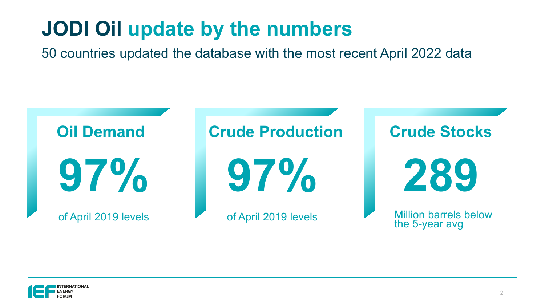# **JODI Oil update by the numbers**

50 countries updated the database with the most recent April 2022 data



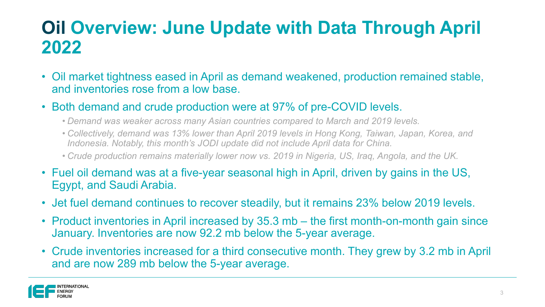### **Oil Overview: June Update with Data Through April 2022**

- Oil market tightness eased in April as demand weakened, production remained stable, and inventories rose from a low base.
- Both demand and crude production were at 97% of pre-COVID levels.
	- *Demand was weaker across many Asian countries compared to March and 2019 levels.*
	- *Collectively, demand was 13% lower than April 2019 levels in Hong Kong, Taiwan, Japan, Korea, and Indonesia. Notably, this month's JODI update did not include April data for China.*
	- *Crude production remains materially lower now vs. 2019 in Nigeria, US, Iraq, Angola, and the UK.*
- Fuel oil demand was at a five-year seasonal high in April, driven by gains in the US, Egypt, and Saudi Arabia.
- Jet fuel demand continues to recover steadily, but it remains 23% below 2019 levels.
- Product inventories in April increased by 35.3 mb the first month-on-month gain since January. Inventories are now 92.2 mb below the 5-year average.
- Crude inventories increased for a third consecutive month. They grew by 3.2 mb in April and are now 289 mb below the 5-year average.

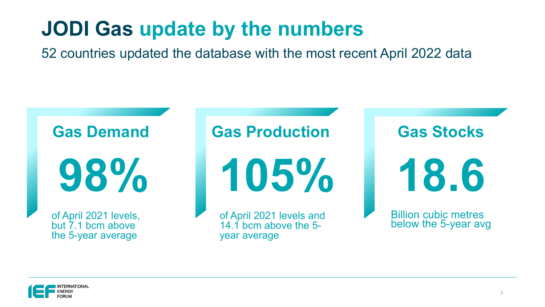# **JODI Gas update by the numbers**

52 countries updated the database with the most recent April 2022 data



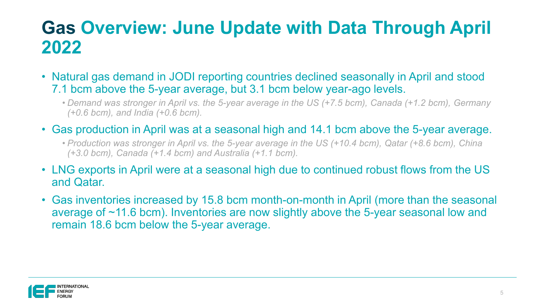### **Gas Overview: June Update with Data Through April 2022**

- Natural gas demand in JODI reporting countries declined seasonally in April and stood 7.1 bcm above the 5-year average, but 3.1 bcm below year-ago levels.
	- *Demand was stronger in April vs. the 5-year average in the US (+7.5 bcm), Canada (+1.2 bcm), Germany (+0.6 bcm), and India (+0.6 bcm).*
- Gas production in April was at a seasonal high and 14.1 bcm above the 5-year average.
	- *Production was stronger in April vs. the 5-year average in the US (+10.4 bcm), Qatar (+8.6 bcm), China (+3.0 bcm), Canada (+1.4 bcm) and Australia (+1.1 bcm).*
- LNG exports in April were at a seasonal high due to continued robust flows from the US and Qatar.
- Gas inventories increased by 15.8 bcm month-on-month in April (more than the seasonal average of ~11.6 bcm). Inventories are now slightly above the 5-year seasonal low and remain 18.6 bcm below the 5-year average.

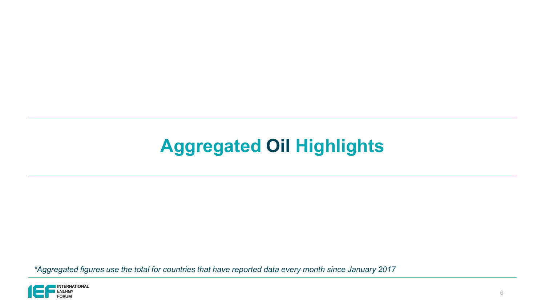## **Aggregated Oil Highlights**

*\*Aggregated figures use the total for countries that have reported data every month since January 2017*

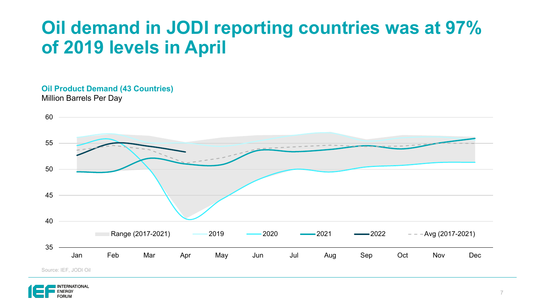### **Oil demand in JODI reporting countries was at 97% of 2019 levels in April**

#### **Oil Product Demand (43 Countries)** Million Barrels Per Day



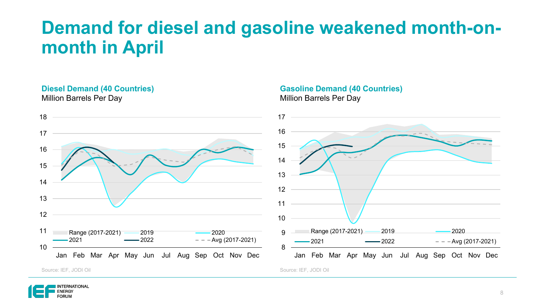### **Demand for diesel and gasoline weakened month-onmonth in April**

#### **Diesel Demand (40 Countries)** Million Barrels Per Day



#### **Gasoline Demand (40 Countries)** Million Barrels Per Day



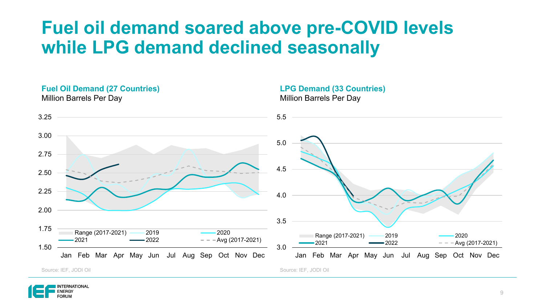### **Fuel oil demand soared above pre-COVID levels while LPG demand declined seasonally**



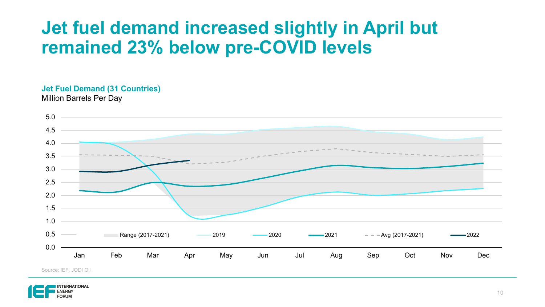### **Jet fuel demand increased slightly in April but remained 23% below pre-COVID levels**

#### **Jet Fuel Demand (31 Countries)** Million Barrels Per Day



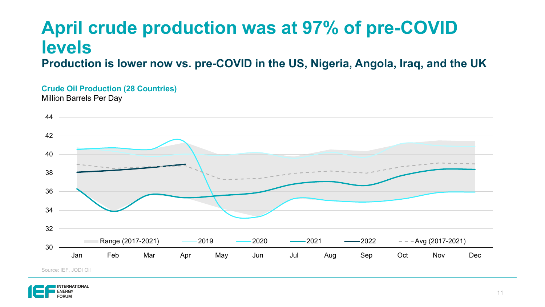# **April crude production was at 97% of pre-COVID levels**

**Production is lower now vs. pre-COVID in the US, Nigeria, Angola, Iraq, and the UK**

#### **Crude Oil Production (28 Countries)**

Million Barrels Per Day



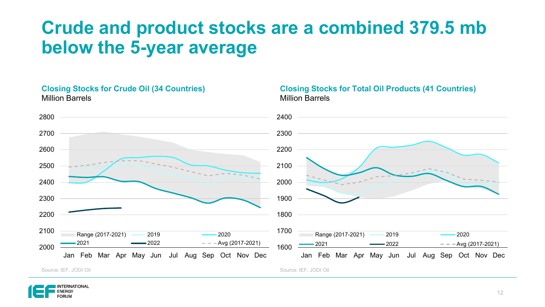### **Crude and product stocks are a combined 379.5 mb below the 5-year average**

**Closing Stocks for Total Oil Products (41 Countries)**

#### **Closing Stocks for Crude Oil (34 Countries)** Million Barrels



Million Barrels

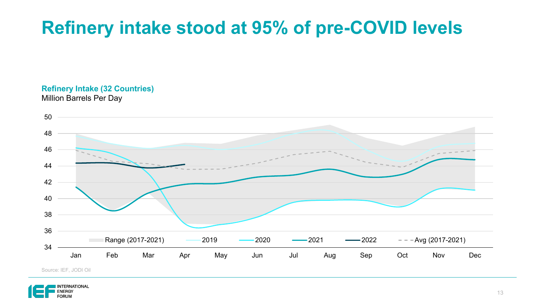## **Refinery intake stood at 95% of pre-COVID levels**

### **Refinery Intake (32 Countries)**

Million Barrels Per Day



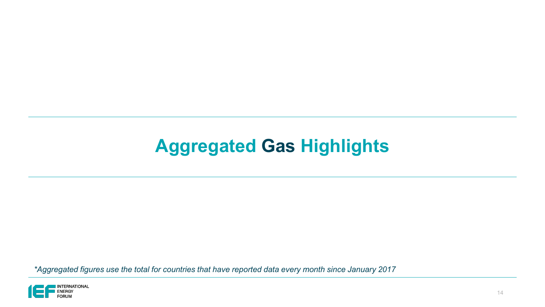### **Aggregated Gas Highlights**

*\*Aggregated figures use the total for countries that have reported data every month since January 2017*

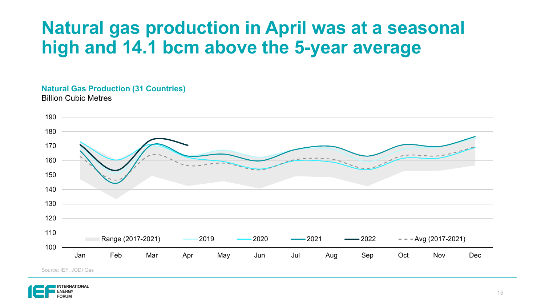### **Natural gas production in April was at a seasonal high and 14.1 bcm above the 5-year average**

#### **Natural Gas Production (31 Countries)** Billion Cubic Metres



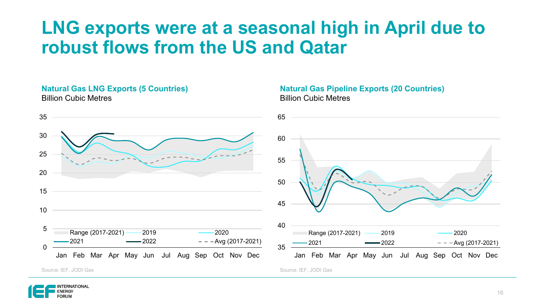### **LNG exports were at a seasonal high in April due to robust flows from the US and Qatar**

#### **Natural Gas LNG Exports (5 Countries)** Billion Cubic Metres







#### **Natural Gas Pipeline Exports (20 Countries)** Billion Cubic Metres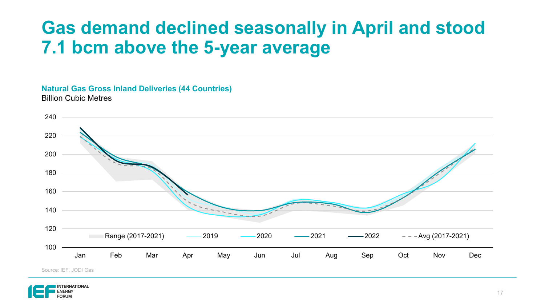### **Gas demand declined seasonally in April and stood 7.1 bcm above the 5-year average**

#### **Natural Gas Gross Inland Deliveries (44 Countries)** Billion Cubic Metres



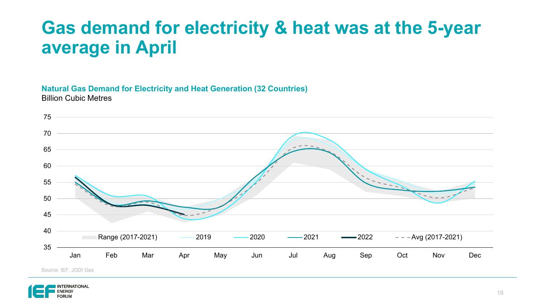### **Gas demand for electricity & heat was at the 5-year average in April**

#### **Natural Gas Demand for Electricity and Heat Generation (32 Countries)** Billion Cubic Metres



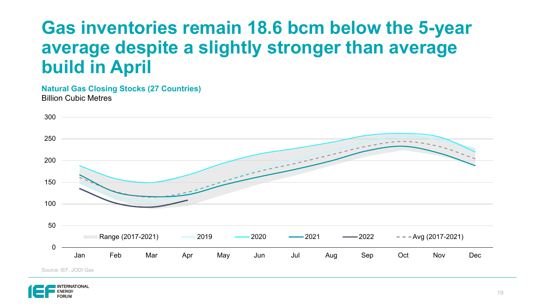### **Gas inventories remain 18.6 bcm below the 5-year average despite a slightly stronger than average build in April**

**Natural Gas Closing Stocks (27 Countries)** Billion Cubic Metres